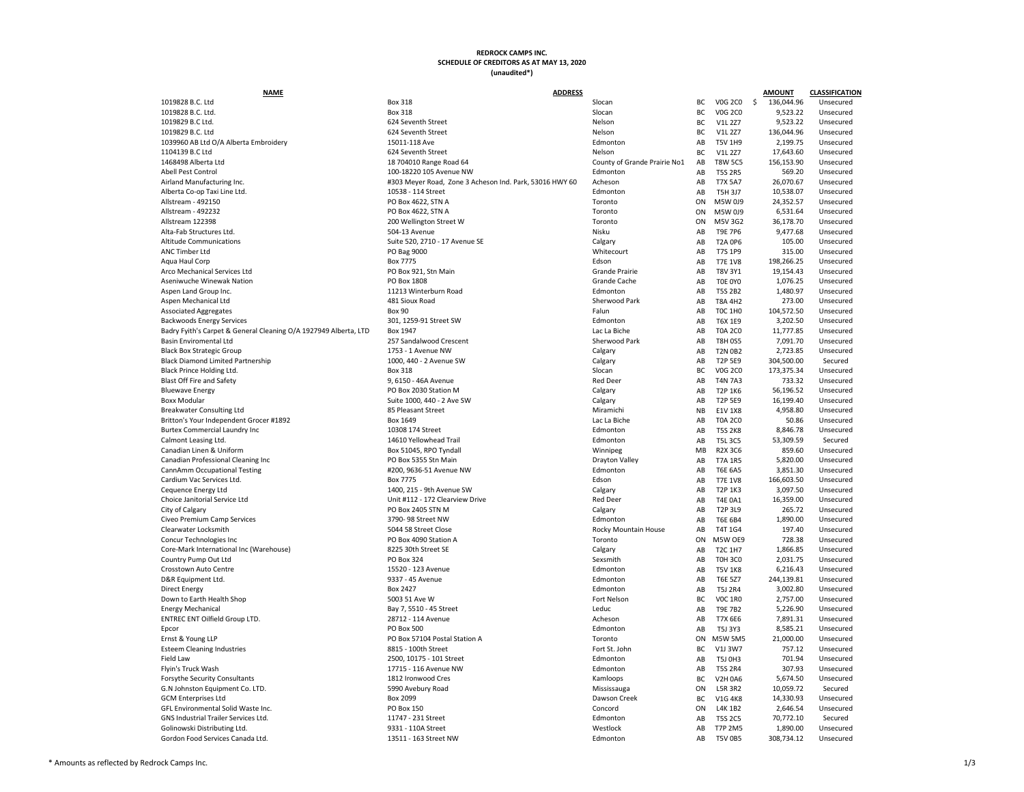**NAME AMOUNT CLASSIFICATION** 1019828 B.C. Ltd Box 318 BC V0G 2C0 \$ 136,044.96 Unsecured 1019828 B.C. Ltd. Box 318 BC V0G 2C0 9,523.22 Unsecured 1019829 B.C Ltd. 624 Seventh Street Nelson BC V1L 2Z7 9,523.22 Unsecured 1019829 B.C. Ltd 624 Seventh Street Nelson BC V1L 2Z7 136,044.96 Unsecured 1039960 AB Ltd O/A Alberta Embroidery 15011-118 Ave 15011-118 Ave Edmonton AB T5011-118 Unsecured AB T5011-118 1104139 B.C Ltd 624 Seventh Street BC V1L 2Z7 17,643.60 Unsecured 1468498 Alberta Ltd 18 704010 Range Road 64 County of Grande Prairie No1 Abell Pest Control 100-18220 105 Avenue NW Edmonton AB T5S 2R5 569.20 Unsecured Airland Manufacturing Inc. **Alternative Coney 1203 Meyer Road, Zone 3 Acheson Ind. Park, 53016 HWY 60** Acheson Alberta Co-op Taxi Line Ltd. 10538 - 114 Street 10538 - 114 Street Edmonton Edmonton Allstream - 492150 Allstream - 492150 PO Box 4622, STN A Toronto ON M5W 0J9 24,352.57 Unsecured Allstream - 492232 PO Box 4622, STN A Toronto ON M5W 0J9 6,531.64 Unsecured Allstream 122398 200 Wellington Street W Toronto ON M5V 3G2 36,178.70 Unsecured Alta-Fab Structures Ltd. 504 Nisku Alta-Fab Structures Ltd. 504-13 Avenue Nisku Alta-Fab Structures Ltd. 9,477.68 Unsecured Altitude Communications and Suite 520, 2710 - 17 Avenue SE Calgary Calgary Calgary ANC Timber Ltd PO Bag 9000 AB T7S 1P9 315.00 Unsecured Aqua Haul Corp Box 7775 AB T7E 1V8 198,266.25 Unsecured Arco Mechanical Services Ltd **PO Box 921, Stn Main** Po Box 921, Stn Main Grande Prairie Aseniwuche Winewak Nation **Absolute 2008** PO Box 1808 **PO Box 1808** Grande Cache AB T0E 076.25 Unsecured 2008 Aspen Land Group Inc. **11213 Winterburn Road** Edmonton **AB T5S 2B2** 1,480.97 Unsecured Aspen Mechanical Ltd **AB T8A 4H2** 273.00 Unsecured 481 Sioux Road **Sherwood Park AB T8A 4H2** 273.00 Unsecured Associated Aggregates **Box 90** Falun Box 90 **Falun Absociated Aggregates** AB TOC 1H0 104,572.50 Unsecured Backwoods Energy Services 301, 1259-91 Street SW Edmonton AB T6X 1E9 301, 1259-91 Street SW Badry Fyith's Carpet & General Cleaning O/A 1927949 Alberta, LTD Box 1947<br>Basin Enviromental Ltd Sherwood Passin Enviromental Ltd Basin Enviromental Ltd 257 Sandalwood Crescent 257 Sandalwood Crescent Sherwood Park AB T8H 0S5 7,091.70 Unsecured Black Box Strategic Group 1753 - 1 Avenue NW Calgary Calgary AB T2N 0B2 2,723.85 Unsecured Black Diamond Limited Partnership 1000, 440 - 2 Avenue SW 5E9 3000, 5E9 304,500.00 Secured SW 5E9 304,500.00 Secured SW Black Prince Holding Ltd. **Box 2001** Slocan Box 318 Slocan Slocan BC VOG 2C0 173,375.34 Unsecured Blast Off Fire and Safety **1.1 State 1.0 Automobile 1.1 September 1.1 Automobile 1.1 Automobile 1.1 Associated** AB T4N 7A3 733.32 Unsecured Bluewave Energy Subsection Absolution Police Police Police 2030 Station M Calgary Calgary Calgary AB T2P 1K6 56,196.52 Unsecured Boxx Modular Calgary Calgary Suite 1000, 440 - 2 Ave SW Calgary Calgary Calgary AB T2P 5E9 16, 199.40 Unsecured United States of the SM Calgary Calgary Calgary Breakwater Consulting Ltd **85 Pleasant Street** Miramichi Niramichi Niramichi Niramichi Niramichi Niramichi Niramichi Britton's Your Independent Grocer #1892 **Box 1649** Box 1649 **Box 1649** Lac La Biche Burtex Commercial Laundry Inc **10308 174 Street** Edmonton AB T5S 2012 10308 174 Street Edmonton AB T5S 2008 174 Street Edmonton AB T5S 2013 08:474 Street Edmonton AB T5S 2014 Street Edmonton AB T5S 2014 Street Edmonton AB Calmont Leasing Ltd. 14610 Yellowhead Trail Calmonton AB T5L 3C5 53,309.59 Secured Canadian Linen & Uniform **Box 51045, RPO Tyndall** Box 51045, RPO Tyndall Winnipeg MB R2C6 850.60 Unsecured MB R2 Canadian Professional Cleaning Inc **PO Box 5355 Stn Main** Po Box 5355 Stn Main Drayton Valley CannAmm Occupational Testing extension and the state and the state and the state and the state and the state of the state and the state of the state of the state of the state of the state and the state of the state of the Cardium Vac Services Ltd. Box 7775 Edson AB T7E 1V8 166,603.50 Unsecured Cequence Energy Ltd 1400 215 - 9th Avenue SW Calgary Calgary AB T2P 1K3 3,097.50 Unsecured Choice Janitorial Service Ltd Choice Janitorial Service Ltd Choice Janitorial Service Ltd Choice Janitorial Service Ltd Calgary<br>Calgary Calgary Calgary Calgary Calgary City of Calgary **PO Box 2405 STN M** PO Box 2405 STN M Calgary Calgary AB T2P 3L9 265.72 Unsecured Civeo Premium Camp Services and AB T6E 6B4 1,890- 98 Street NW AB T6E 6B4 1,890.00 Unsecured AB T6E 6B4 1,890.00 U Clearwater Locksmith Show SD44 58 Street Close Close Rocky Mountain House AB T4T 1G4 197.40 Unsecured Concur Technologies Inc **PO Box 4090 Station A** PO Box 4090 Station A Core-Mark International Inc (Warehouse) 8225 30th Street SE Calgary AB T2C 1H7 1,866.85 Unsecured AB T2C 11,866 Country Pump Out Ltd PO Box 324 Sexsmith AB T0H 3C0 2,031.75 Unsecured Crosstown Auto Centre 15520 - 123 Avenue 15520 - 123 Avenue AB T5V 1K8 6,216.43 Unsecured D&R Equipment Ltd. 9337 - 45 Avenue Edmonton AB T6E 5Z7 244,139.81 Unsecured Direct Energy Box 2427 Edmonton AB T5J 2R4 3,002.80 Unsecured Down to Earth Health Shop 5003 51 Ave W Fort Nelson BC V0C 1R0 2,757.00 Unsecured Energy Mechanical Leduc ENTREC ENT Oilfield Group LTD. 28712 - 114 Avenue 28712 - 114 Avenue Acheson Acheson Acheson Acheson Acheson Edmonto Epcor PO Box 500 Edmonton AB T5J 3Y3 8,585.21 Unsecured Ernst & Young LLP **PO Box 57104 Postal Station A** Toronto ON M5W 57104 Postal Station A Esteem Cleaning Industries **External industries** 8815 - 100th Street Fort St. John 3W7 757.12 Unsecured and BC V1J 3W7 757.12 Unsecured A Field Law 2000, 10175 - 101 Street Edmonton Edmonton AB T5J 0H3 701.94 Unsecured Flyin's Truck Wash 17715 - 116 Avenue NW Edmonton AB T5S 2R4 307.93 Unsecured G.N Johnston Equipment Co. LTD. **5990 Avebury Road** G.N Johnston Equipment Co. LTD. GCM Enterprises Ltd Box 2099 BC V1G 4K8 14,330.93 Unsecured GFL Environmental Solid Waste Inc. The Concord Concord Concord Concord Concord Concord GNS Industrial Trailer Services Ltd. 11747 - 231 Street Edmonton AB T5S 2C5 2C5 70, 70,7747 - 231 Street Edmonton AB T5S 2C5 70,772.10 Secured AB T5S 2C5 70,772.10 Secured AB T5S 2C5 70,772.10 Secured AB T5S 2C5 70,772.10 Golinowski Distributing Ltd. Nestlock 20031 - 110A Street Westlock 2009 2031 - 110A Street Gordon Food Services Canada Ltd. 13511 - 163 Street NW 605 308,734.12 Unsecured AB T5000 208,73511 - 163 Street NW **ADDRESS**

|    |                | <b>AMOUNT</b>    | <b>CLASSIFICATION</b> |
|----|----------------|------------------|-----------------------|
| BС | <b>V0G 2C0</b> | \$<br>136,044.96 | Unsecured             |
| ВC | <b>V0G 2C0</b> | 9,523.22         | Unsecured             |
| ВC | <b>V1L 2Z7</b> | 9,523.22         | Unsecured             |
| BС | V1L 2Z7        | 136,044.96       | Unsecured             |
| AB | <b>T5V 1H9</b> | 2,199.75         | Unsecured             |
| ВC | V1L 2Z7        | 17,643.60        | Unsecured             |
|    |                |                  |                       |
| AB | <b>T8W 5C5</b> | 156,153.90       | Unsecured             |
| AB | <b>T5S 2R5</b> | 569.20           | Unsecured             |
| AB | <b>T7X 5A7</b> | 26,070.67        | Unsecured             |
| AB | T5H 3J7        | 10,538.07        | Unsecured             |
| ОN | M5W 0J9        | 24,352.57        | Unsecured             |
| ОN | M5W 0J9        | 6,531.64         | Unsecured             |
| ОN | M5V 3G2        | 36,178.70        | Unsecured             |
| AB | <b>T9E 7P6</b> | 9,477.68         | Unsecured             |
| AB | <b>T2A 0P6</b> | 105.00           | Unsecured             |
| AB | <b>T7S 1P9</b> | 315.00           | Unsecured             |
| AB | <b>T7E 1V8</b> | 198,266.25       | Unsecured             |
| AB | <b>T8V 3Y1</b> | 19,154.43        | Unsecured             |
| AB | TOE OYO        | 1,076.25         | Unsecured             |
| AB | <b>T5S 2B2</b> | 1,480.97         | Unsecured             |
| AB | <b>T8A 4H2</b> | 273.00           | Unsecured             |
| AB | <b>TOC 1H0</b> | 104,572.50       | Unsecured             |
|    |                |                  |                       |
| AB | T6X 1E9        | 3,202.50         | Unsecured             |
| AB | <b>T0A 2C0</b> | 11,777.85        | Unsecured             |
| AB | <b>T8H 0S5</b> | 7,091.70         | Unsecured             |
| AB | <b>T2N 0B2</b> | 2,723.85         | Unsecured             |
| AB | <b>T2P 5E9</b> | 304,500.00       | Secured               |
| ВC | V0G 2C0        | 173,375.34       | Unsecured             |
| AB | <b>T4N 7A3</b> | 733.32           | Unsecured             |
| AB | <b>T2P 1K6</b> | 56,196.52        | Unsecured             |
| AB | <b>T2P 5E9</b> | 16,199.40        | Unsecured             |
| NΒ | <b>E1V 1X8</b> | 4,958.80         | Unsecured             |
| AB | <b>T0A 2C0</b> | 50.86            | Unsecured             |
| AB | <b>T5S 2K8</b> | 8,846.78         | Unsecured             |
| AB | T5L 3C5        | 53,309.59        | Secured               |
| MВ | <b>R2X 3C6</b> | 859.60           | Unsecured             |
| AB | <b>T7A 1R5</b> | 5,820.00         | Unsecured             |
| AB | <b>T6E 6A5</b> | 3,851.30         | Unsecured             |
| AB | <b>T7E 1V8</b> | 166,603.50       | Unsecured             |
| AB | <b>T2P 1K3</b> | 3,097.50         | Unsecured             |
| AB | <b>T4E 0A1</b> | 16,359.00        | Unsecured             |
|    |                |                  |                       |
| AB | T2P 3L9        | 265.72           | Unsecured             |
| AB | <b>T6E 6B4</b> | 1,890.00         | Unsecured             |
| AB | T4T 1G4        | 197.40           | Unsecured             |
| ОN | M5W OE9        | 728.38           | Unsecured             |
| AB | <b>T2C 1H7</b> | 1,866.85         | Unsecured             |
| AB | <b>TOH 3CO</b> | 2,031.75         | Unsecured             |
| AB | <b>T5V 1K8</b> | 6,216.43         | Unsecured             |
| AB | <b>T6E 5Z7</b> | 244,139.81       | Unsecured             |
| АΒ | <b>T5J 2R4</b> | 3,002.80         | Unsecured             |
| ВC | <b>VOC 1RO</b> | 2,757.00         | Unsecured             |
| AB | <b>T9E 7B2</b> | 5,226.90         | Unsecured             |
| AB | <b>T7X 6E6</b> | 7,891.31         | Unsecured             |
| AB | <b>T5J 3Y3</b> | 8,585.21         | Unsecured             |
| ОN | <b>M5W 5M5</b> | 21,000.00        | Unsecured             |
| ВC | V1J 3W7        | 757.12           | Unsecured             |
| AB | T5J 0H3        | 701.94           | Unsecured             |
| AB | <b>T5S 2R4</b> | 307.93           | Unsecured             |
|    |                |                  |                       |
| ВC | <b>V2H 0A6</b> | 5,674.50         | Unsecured             |
| ОN | <b>L5R 3R2</b> | 10,059.72        | Secured               |
| ВC | <b>V1G 4K8</b> | 14,330.93        | Unsecured             |
| ОN | <b>L4K 1B2</b> | 2,646.54         | Unsecured             |
| AB | <b>T5S 2C5</b> | 70,772.10        | Secured               |
| AB | <b>T7P 2M5</b> | 1,890.00         | Unsecured             |
| AB | <b>T5V 0B5</b> | 308,734.12       | Unsecured             |
|    |                |                  |                       |

## **REDROCK CAMPS INC. SCHEDULE OF CREDITORS AS AT MAY 13, 2020 (unaudited\*)**

Forsythe Security Consultants 1812 Ironwood Cres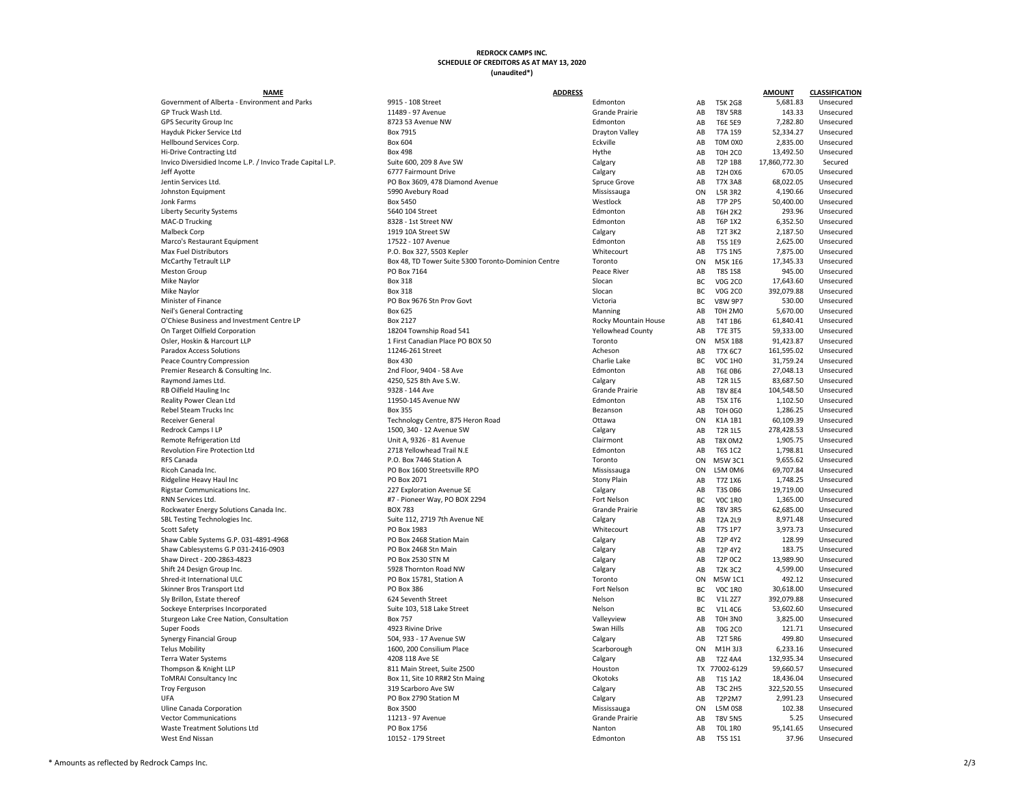## **REDROCK CAMPS INC. SCHEDULE OF CREDITORS AS AT MAY 13, 2020 (unaudited\*)**

Rockwater Energy Solutions Canada Inc. Grande Prairies AB T83

## **NAME ADDRESS AMOUNT CLASSIFICATION** Government of Alberta - Environment and Parks 9915 - 108 Street Formula Covernment of Alberta - Environment and Parks 9915 - 108 Street France Practice Covernment and Parks 11489 - 97 Avenue France Practice Crande Pra GP Truck Wash Ltd. 11489 - 11489 - 97 Avenue 11489 - 97 Avenue Grande Prairie AB T8V 5R8 143.33 Unsecured GPS Security Group Inc and the State of the State 8723 53 Avenue NW Edmonton AB T6E 5E9 7,282.80 Unsecured Hayduk Picker Service Ltd Box 7915 Drayton Valley AB T7A 1S9 52,334.27 Unsecured Hellbound Services Corp. Box 604 Eckville AB T0M 0X0 2,835.00 Unsecured Hi-Drive Contracting Ltd Box 2001 Minimum Box 498 Box 498 Hythe AB T0H 2C0 13,492.50 Unsecured Invico Diversidied Income L.P. / Invico Trade Capital L.P. Suite 600, 209 8 Ave SW Calgary Calgary Calgary Jeff Ayotte 6777 Fairmount Drive Calgary AB T2H 0X6 670.05 Unsecured Jentin Services Ltd. Subsection Contract About 2008 2609, 478 Diamond Avenue Spruce Grove AB T7X 3A8 68,092.05 U Johnston Equipment 5990 Avebury Road Mississauga ON L5R 3R2 4,190.66 Unsecured Jonk Farms Box 5450 Westlock AB T7P 2P5 50,400.00 Unsecured Liberty Security Systems **Edmonton** 5640 104 Street Edmonton **Edmonton** MAC-D Trucking **8328 - 1st Street NW 2006** 2328 - 1st Street NW 6328 - 1st Street NW 6,352.50 Unsecured Malbeck Corp 1919 10A Street SW AB T2T 3K2 2,187.50 Unsecured Marco's Restaurant Equipment **17522 - 107 Avenue** 17522 - 107 Avenue Edmonton AB T5S 165.00 Unsecured Edmonton A Max Fuel Distributors **Account 12 Conserverse Conserverse ACCO** Box 327, 5503 Kepler Whitecourt AB T7S 100 Unsecured Whitecourt McCarthy Tetrault LLP **Box 48, TD Tower Suite 5300 Toronto-Dominion Centre** Toronto Meston Group PO Box 7164 Peace River AB T8S 1S8 945.00 Unsecured Mike Naylor Naylor Box 318 Slocan Box 318 Slocan BC VOG 2C0 17,643.60 Unsecured Mike Naylor Naylor Box 318 Slocan Box 318 Slocan BC VOG 2C0 392,079.88 Unsecured Minister of Finance **PO Box 9676 Stn Prov Govt** Victoria BC Victoria BC Victoria BC Victoria BC Victoria BC Victoria Neil's General Contracting The Box 625 Manning AB T0H 2012 12:30 Manning AB T0H 2012 12:30 Manning AB T0H 2013 O'Chiese Business and Investment Centre LP Box 2127 Box 2127 Rocky Mountain House AB T4T 1860.41 Unsecured and AB T4T 1860.41 Unsecured and AB T4T 1860.41 Unsecured and AB T4T 1860.41 Unsecured and AB T4T 1860.41 Unsecured On Target Oilfield Corporation and the state of the 18204 Township Road 541 Yellowhead County AB T7E 3T5 59,333 Osler, Hoskin & Harcourt LLP 1 First Canadian Place PO BOX 50 Toronto ON M5X 1887 1 First Canadian Place PO BOX 50 Paradox Access Solutions **1125 COVID-201 Street Acheson** Acheson Acheson Acheson AB T7X 6C7 161,595.02 Unsecured Peace Country Compression Box 430 Charlie Lake BC V0C 1H0 31,759.24 Unsecured Premier Research & Consulting Inc. 2nd Floor, 9404 - 58 Ave Edmonton AB T6E 0B6 27,048.13 Unsecured AB T6E 0B6 27,0 Raymond James Ltd. 4250 2003 1250, 525 8th Ave S.W. And Calgary AB T2R 1L5 83,687.50 Unsecured RB Oilfield Hauling Inc **104,548.50** Unsecured **9328 - 144 Ave Grande Prairie AB T8V 8E4 104,548.50 Unsecured** Reality Power Clean Ltd 11950-145 Avenue NW Edmonton AB T5X 1T6 1,102.50 Unsecured Rebel Steam Trucks Inc Burgen Box 355 Bexanson Bezanson AB TOH 0G0 1,286.25 Unsecured Receiver General **Technology Centre, 875 Heron Road** Ottawa Chawa Redrock Camps I LP 1500, 240 - 12 Avenue SW Calgary Calgary Calgary AB T2R 1500, 340 - 12 Avenue SW Remote Refrigeration Ltd **Network Clairmont** Unit A, 9326 - 81 Avenue Clairmont AB T8X 000 1,905.75 Unit A, 9326 - 81 Avenue Clairmont Revolution Fire Protection Ltd **2718 Yellowhead Trail N.E** Edmonton **AB T6S 1C2 16S 1C2 16S 1C2 16S 1C2 1** RFS Canada P.O. Box 7446 Station A Toronto ON M5W 3C1 9,655.62 Unsecured Ricoh Canada Inc. **PO Box 1600 Streetsville RPO** Canada Inc. **Mississauga** ON L5M 0M6 69,707.84 Unsecured Units Canada Inc. Ridgeline Heavy Haul Inc **Prober 200 COSES 2001** PO Box 2071 **Prober 200 COSES 200 Plain** AB T7Z 1X6 1,748.25 Unsecured Rigstar Communications Inc. 227 Exploration Avenue SE Calgary Calgary Calgary AB T3S 0B6 19,719.00 Unsecured A RNN Services Ltd. #7 - Pioneer Way, PO BOX 2294 Fort Nelson Fort Nelson Fort Nelson Fort Nelson Fort Nelson BOX 783 SBL Testing Technologies Inc. Suite 112, 2719 7th Avenue NE Calgary Calgary AB T2A 2L9 8,971.48 Unsecured May t Scott Safety PO Box 1983 AB T7S 1P7 3,973.73 Unsecured Shaw Cable Systems G.P. 031-4891-4968 **PO Box 2468 Station Main** PO Box 2468 Station Main Shaw Cablesystems G.P 031-2416-0903 **PO Box 2468 Stn Main** PO Box 2468 Stn Main Calgary Shaw Direct - 200-2863-4823 Calgary AB T2P 0C2 12, 200-2863-4823 PO Box 2530 STN M Shift 24 Design Group Inc. 6. The Shift 24 Design Group Inc. 5928 Thornton Road NW Calgary AB T2C2 4,5928 Thornton Road NW Shred-it International ULC Toronto PO Box 15781, Station A Toronto ON M5TO 12 UNSECURE 2020 Skinner Bros Transport Ltd **Ford Access 1986** Fort Nelson BC 1R0 386 Fort Nelson BC 1R0 30,000 Unsecured BC 1R0 30,000 Unsecured BC 1R0 30,000 Unsecured BC 1R0 30,618.00 Unsecured BC 1R0 30,000 Unsecured BC 1R0 30,000 Unse Sly Brillon, Estate thereof his controlled the secured of the Seventh Street (Seventh Street and Seventh Street Seventh Street and Seventh Street and Seventh Street and Seventh Street and Seventh Street and Seventh Street Sockeye Enterprises Incorporated Nelson Suite 103, 518 Lake Street Nelson BC V1L 4C6 53,618 Unsecured Nelson Sturgeon Lake Cree Nation, Consultation and Sturgeon Lake Cree Nation, Consultation by the Sturgeon Box 757 Consultation Box 757 Consultation and Sturgeon Consultation and Sturgeon AB T0H 3N0 3, 2012 Unsecured AB T0H 3N0 3 Super Foods **121.71 Unsecured** 4923 Rivine Drive **AB Swan Hills AB TOG 2C0 121.71 Unsecured** Synergy Financial Group 504 504, 933 - 17 Avenue SW Calgary Calgary AB T2T 5R6 499.80 Unsecured Telus Mobility 1600, 200 Consilium Place Scarborough Scarborough ON M1H 3J3 6,233.16 Unsecured Terra Water Systems 4208 118 Ave SE AB T2Z 4A4 132,935.34 Unsecured Thompson & Knight LLP **811 Main Street, Suite 2500** Houston Houston Houston ToMRAI Consultancy Inc **Box 11, Site 10 RR#2 Stn Maing** Dkotoks **Box 11**, Site 10 RR#2 Stn Maing Troy Ferguson 319 Scarboro Ave SW Calgary AB T3C 2H5 322,520.55 Unsecured UFA 2,991.23 Unsecured PO Box 2790 Station M Calgary Calgary AB T2P2M7 2,991.23 Unsecured Uline Canada Corporation and a series of the Box 3500 Mississauga Company of the Mississauga Company of the Mississauga Vector Communications **11213 - 11213 - 97 Avenue** 11213 - 97 Avenue Grande Prairie AB T8V 5N5 5.25 Unsecured Waste Treatment Solutions Ltd **Nanton** PO Box 1756 Nanton AB T0L 1756 Nanton AB T0L 1R0 95,141.65 Unsecured AB T0 West End Nissan Number 20152 - 199 Street 20152 - 179 Street Edmonton AB T5S 1S1 37.96 Unsecured

|    |                                  | <b>AMOUNT</b> | <b>CLASSIFICATION</b> |
|----|----------------------------------|---------------|-----------------------|
| AB | <b>T5K 2G8</b>                   | 5,681.83      | Unsecured             |
| AB | <b>T8V 5R8</b>                   | 143.33        | Unsecured             |
| AB | <b>T6E 5E9</b>                   | 7,282.80      | Unsecured             |
| AB | T7A 1S9                          | 52,334.27     | Unsecured             |
| AB | TOM 0X0                          | 2,835.00      | Unsecured             |
| AB | <b>TOH 2CO</b>                   | 13,492.50     | Unsecured             |
| AB | T2P 1B8                          | 17,860,772.30 | Secured               |
| AB | <b>T2H 0X6</b>                   | 670.05        | Unsecured             |
| AB | <b>T7X 3A8</b>                   | 68,022.05     | Unsecured             |
| ОN | <b>L5R 3R2</b>                   | 4,190.66      | Unsecured             |
| AB | <b>T7P 2P5</b>                   | 50,400.00     | Unsecured             |
| AB | <b>T6H 2K2</b>                   | 293.96        | Unsecured             |
| AB | T6P 1X2                          | 6,352.50      | Unsecured             |
| AB | <b>T2T 3K2</b>                   | 2,187.50      | Unsecured             |
| AB | <b>T5S 1E9</b>                   | 2,625.00      | Unsecured             |
| AB | <b>T7S 1N5</b>                   | 7,875.00      | Unsecured             |
| OΝ | <b>M5K 1E6</b>                   | 17,345.33     | Unsecured             |
| AB | <b>T8S 1S8</b>                   | 945.00        | Unsecured             |
| ВC | <b>V0G 2C0</b>                   | 17,643.60     | Unsecured             |
| BС | <b>V0G 2C0</b>                   | 392,079.88    | Unsecured             |
| ВC | <b>V8W 9P7</b>                   | 530.00        | Unsecured             |
| AB | <b>T0H 2M0</b>                   | 5,670.00      | Unsecured             |
| AB | <b>T4T 1B6</b>                   | 61,840.41     | Unsecured             |
| AB | <b>T7E 3T5</b>                   | 59,333.00     | Unsecured             |
| OΝ | M5X 1B8                          | 91,423.87     | Unsecured             |
| AB | T7X 6C7                          | 161,595.02    | Unsecured             |
| BС | <b>VOC 1H0</b>                   | 31,759.24     | Unsecured             |
| AB | <b>T6E 0B6</b>                   | 27,048.13     | Unsecured             |
|    |                                  |               |                       |
| AB | <b>T2R 1L5</b><br><b>T8V 8E4</b> | 83,687.50     | Unsecured             |
| AB |                                  | 104,548.50    | Unsecured             |
| AB | <b>T5X 1T6</b>                   | 1,102.50      | Unsecured             |
| AB | <b>TOH 0G0</b>                   | 1,286.25      | Unsecured             |
| OΝ | K1A 1B1                          | 60,109.39     | Unsecured             |
| AB | <b>T2R 1L5</b>                   | 278,428.53    | Unsecured             |
| AB | T8X OM2                          | 1,905.75      | Unsecured             |
| AB | <b>T6S 1C2</b>                   | 1,798.81      | Unsecured             |
| ΟN | <b>M5W 3C1</b>                   | 9,655.62      | Unsecured             |
| ОN | L5M 0M6                          | 69,707.84     | Unsecured             |
| AB | T7Z 1X6                          | 1,748.25      | Unsecured             |
| AB | <b>T3S 0B6</b>                   | 19,719.00     | Unsecured             |
| ВC | <b>VOC 1R0</b>                   | 1,365.00      | Unsecured             |
| AB | <b>T8V 3R5</b>                   | 62,685.00     | Unsecured             |
| AB | <b>T2A 2L9</b>                   | 8,971.48      | Unsecured             |
| AB | <b>T7S 1P7</b>                   | 3,973.73      | Unsecured             |
| АB | <b>T2P 4Y2</b>                   | 128.99        | Unsecured             |
| AB | <b>T2P 4Y2</b>                   | 183.75        | Unsecured             |
| AB | <b>T2P OC2</b>                   | 13,989.90     | Unsecured             |
| AB | <b>T2K3C2</b>                    | 4,599.00      | Unsecured             |
| ОN | M5W 1C1                          | 492.12        | Unsecured             |
| ВC | <b>VOC 1RO</b>                   | 30,618.00     | Unsecured             |
| ВC | V1L 2Z7                          | 392,079.88    | Unsecured             |
| ВC | <b>V1L 4C6</b>                   | 53,602.60     | Unsecured             |
| AB | <b>TOH 3NO</b>                   | 3,825.00      | Unsecured             |
| AB | <b>T0G 2C0</b>                   | 121.71        | Unsecured             |
| AB | <b>T2T 5R6</b>                   | 499.80        | Unsecured             |
| ОN | M1H 3J3                          | 6,233.16      | Unsecured             |
| AB | <b>T2Z 4A4</b>                   | 132,935.34    | Unsecured             |
| TХ | 77002-6129                       | 59,660.57     | Unsecured             |
| AB | <b>T1S 1A2</b>                   | 18,436.04     | Unsecured             |
| АB | <b>T3C 2H5</b>                   | 322,520.55    | Unsecured             |
| AB | T2P2M7                           | 2,991.23      | Unsecured             |
| ОN | <b>L5M 0S8</b>                   | 102.38        | Unsecured             |
| AB | <b>T8V 5N5</b>                   | 5.25          | Unsecured             |
| AB | <b>TOL 1R0</b>                   | 95,141.65     | Unsecured             |
| AB | T5S 1S1                          | 37.96         | Unsecured             |
|    |                                  |               |                       |